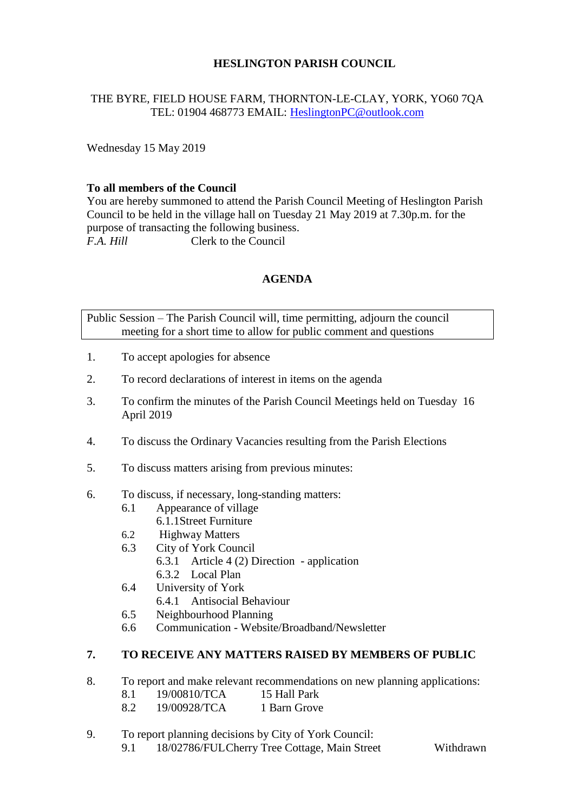# **HESLINGTON PARISH COUNCIL**

# THE BYRE, FIELD HOUSE FARM, THORNTON-LE-CLAY, YORK, YO60 7QA TEL: 01904 468773 EMAIL: [HeslingtonPC@outlook.com](mailto:HeslingtonPC@outlook.com)

Wednesday 15 May 2019

### **To all members of the Council**

You are hereby summoned to attend the Parish Council Meeting of Heslington Parish Council to be held in the village hall on Tuesday 21 May 2019 at 7.30p.m. for the purpose of transacting the following business. *F.A. Hill* Clerk to the Council

# **AGENDA**

Public Session – The Parish Council will, time permitting, adjourn the council meeting for a short time to allow for public comment and questions

- 1. To accept apologies for absence
- 2. To record declarations of interest in items on the agenda
- 3. To confirm the minutes of the Parish Council Meetings held on Tuesday 16 April 2019
- 4. To discuss the Ordinary Vacancies resulting from the Parish Elections
- 5. To discuss matters arising from previous minutes:
- 6. To discuss, if necessary, long-standing matters:
	- 6.1 Appearance of village
	- 6.1.1Street Furniture
	- 6.2 Highway Matters
	- 6.3 City of York Council
		- 6.3.1 Article 4 (2) Direction application
		- 6.3.2 Local Plan
	- 6.4 University of York
		- 6.4.1 Antisocial Behaviour
	- 6.5 Neighbourhood Planning
	- 6.6 Communication Website/Broadband/Newsletter

#### **7. TO RECEIVE ANY MATTERS RAISED BY MEMBERS OF PUBLIC**

- 8. To report and make relevant recommendations on new planning applications:
	- 8.1 19/00810/TCA 15 Hall Park
	- 8.2 19/00928/TCA 1 Barn Grove
- 9. To report planning decisions by City of York Council:
	- 9.1 18/02786/FULCherry Tree Cottage, Main Street Withdrawn